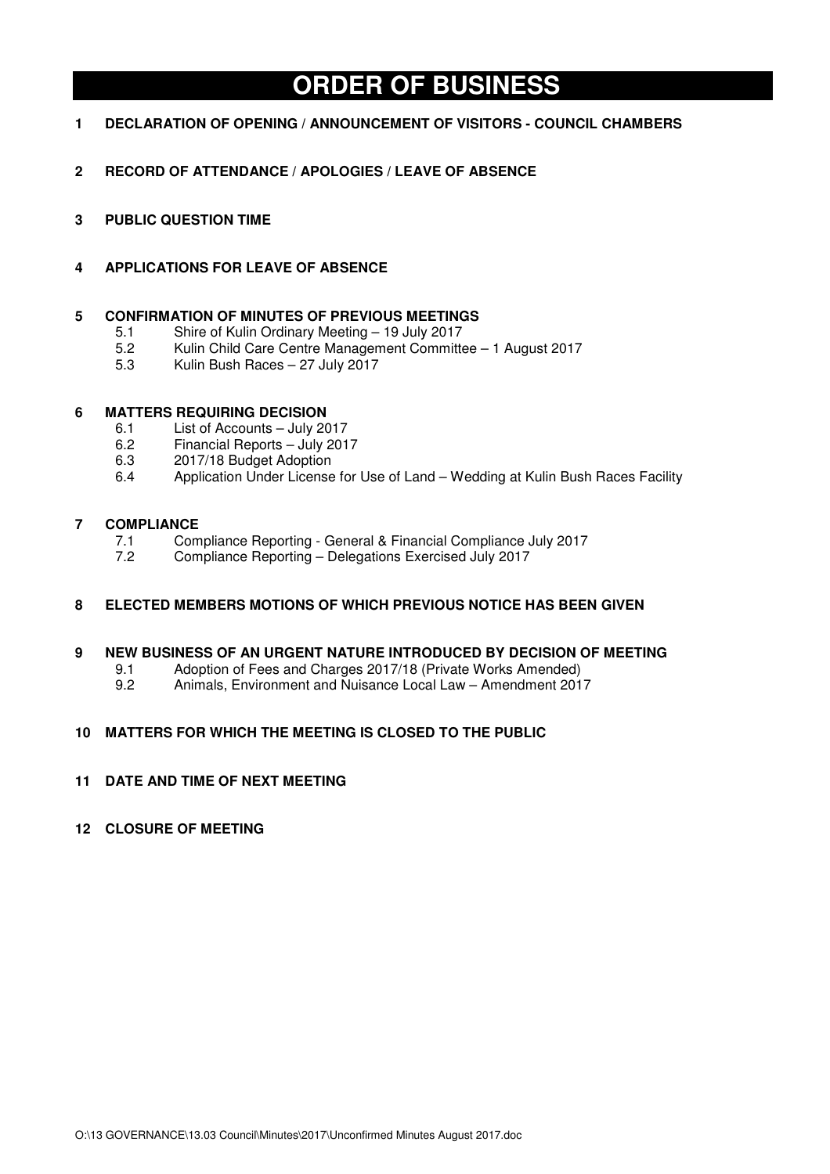# **ORDER OF BUSINESS**

- **1 DECLARATION OF OPENING / ANNOUNCEMENT OF VISITORS COUNCIL CHAMBERS**
- **2 RECORD OF ATTENDANCE / APOLOGIES / LEAVE OF ABSENCE**
- **3 PUBLIC QUESTION TIME**
- **4 APPLICATIONS FOR LEAVE OF ABSENCE**

# **5 CONFIRMATION OF MINUTES OF PREVIOUS MEETINGS**

- 5.1 Shire of Kulin Ordinary Meeting 19 July 2017
- 5.2 Kulin Child Care Centre Management Committee 1 August 2017
- 5.3 Kulin Bush Races 27 July 2017

# **6 MATTERS REQUIRING DECISION**

- 6.1 List of Accounts July 2017
- 6.2 Financial Reports July 2017
- 6.3 2017/18 Budget Adoption
- 6.4 Application Under License for Use of Land Wedding at Kulin Bush Races Facility

# **7 COMPLIANCE**

- 7.1 Compliance Reporting General & Financial Compliance July 2017<br>7.2 Compliance Reporting Delegations Exercised July 2017
- 7.2 Compliance Reporting Delegations Exercised July 2017

# **8 ELECTED MEMBERS MOTIONS OF WHICH PREVIOUS NOTICE HAS BEEN GIVEN**

# **9 NEW BUSINESS OF AN URGENT NATURE INTRODUCED BY DECISION OF MEETING**

- 9.1 Adoption of Fees and Charges 2017/18 (Private Works Amended)
- 9.2 Animals, Environment and Nuisance Local Law Amendment 2017

# **10 MATTERS FOR WHICH THE MEETING IS CLOSED TO THE PUBLIC**

**11 DATE AND TIME OF NEXT MEETING** 

# **12 CLOSURE OF MEETING**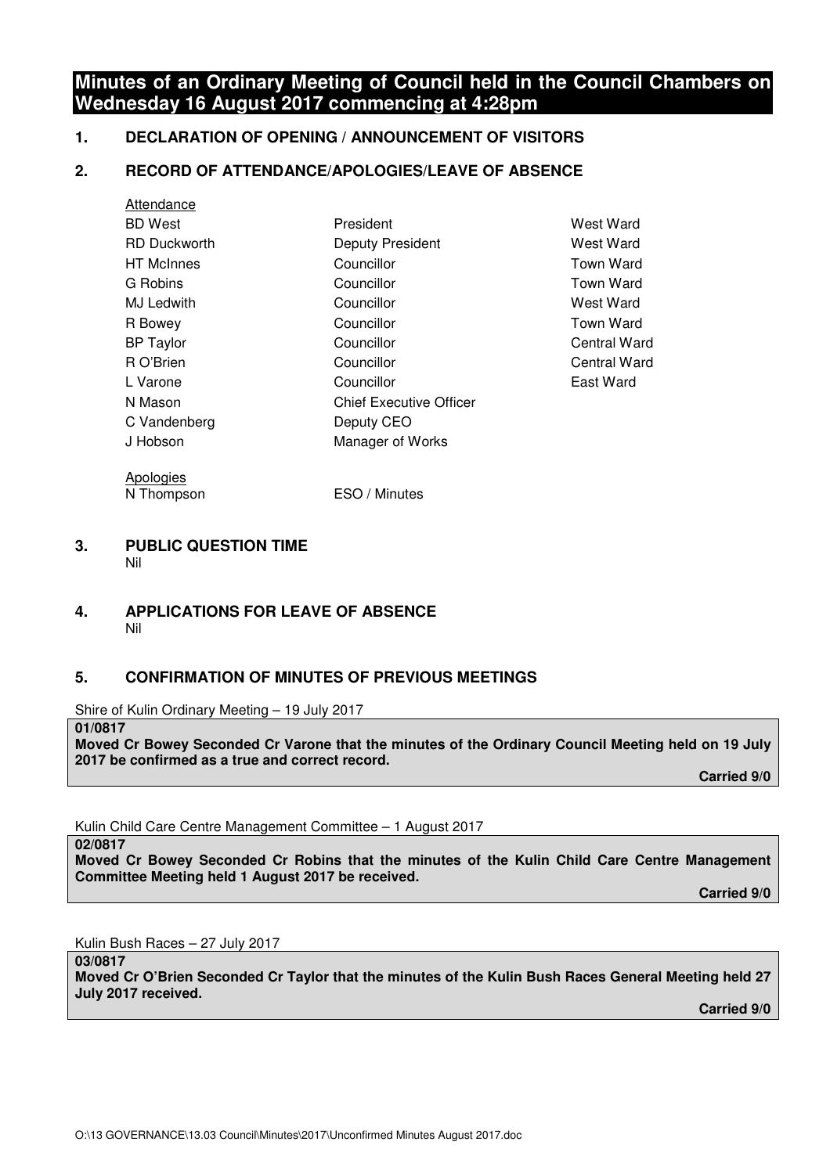# **Minutes of an Ordinary Meeting of Council held in the Council Chambers on Wednesday 16 August 2017 commencing at 4:28pm**

# **1. DECLARATION OF OPENING / ANNOUNCEMENT OF VISITORS**

# **2. RECORD OF ATTENDANCE/APOLOGIES/LEAVE OF ABSENCE**

| Attendance          |                                |                    |
|---------------------|--------------------------------|--------------------|
| BD West             | President                      | West Ward          |
| <b>RD Duckworth</b> | Deputy President               | West Ward          |
| HT McInnes          | Councillor                     | <b>Town Ward</b>   |
| G Robins            | Councillor                     | <b>Town Ward</b>   |
| MJ Ledwith          | Councillor                     | West Ward          |
| R Bowey             | Councillor                     | <b>Town Ward</b>   |
| <b>BP Taylor</b>    | Councillor                     | <b>Central War</b> |
| R O'Brien           | Councillor                     | Central War        |
| L Varone            | Councillor                     | East Ward          |
| N Mason             | <b>Chief Executive Officer</b> |                    |
| C Vandenberg        | Deputy CEO                     |                    |
| J Hobson            | Manager of Works               |                    |
|                     |                                |                    |

**Apologies** N Thompson ESO / Minutes Town Ward Town Ward West Ward Town Ward Central Ward **Central Ward** East Ward

#### **3. PUBLIC QUESTION TIME**  Nil

# **4. APPLICATIONS FOR LEAVE OF ABSENCE**  Nil

# **5. CONFIRMATION OF MINUTES OF PREVIOUS MEETINGS**

Shire of Kulin Ordinary Meeting – 19 July 2017

**01/0817** 

**Moved Cr Bowey Seconded Cr Varone that the minutes of the Ordinary Council Meeting held on 19 July 2017 be confirmed as a true and correct record.** 

 **Carried 9/0** 

Kulin Child Care Centre Management Committee – 1 August 2017

**02/0817** 

**Moved Cr Bowey Seconded Cr Robins that the minutes of the Kulin Child Care Centre Management Committee Meeting held 1 August 2017 be received.** 

 **Carried 9/0** 

Kulin Bush Races – 27 July 2017

**03/0817 Moved Cr O'Brien Seconded Cr Taylor that the minutes of the Kulin Bush Races General Meeting held 27 July 2017 received.**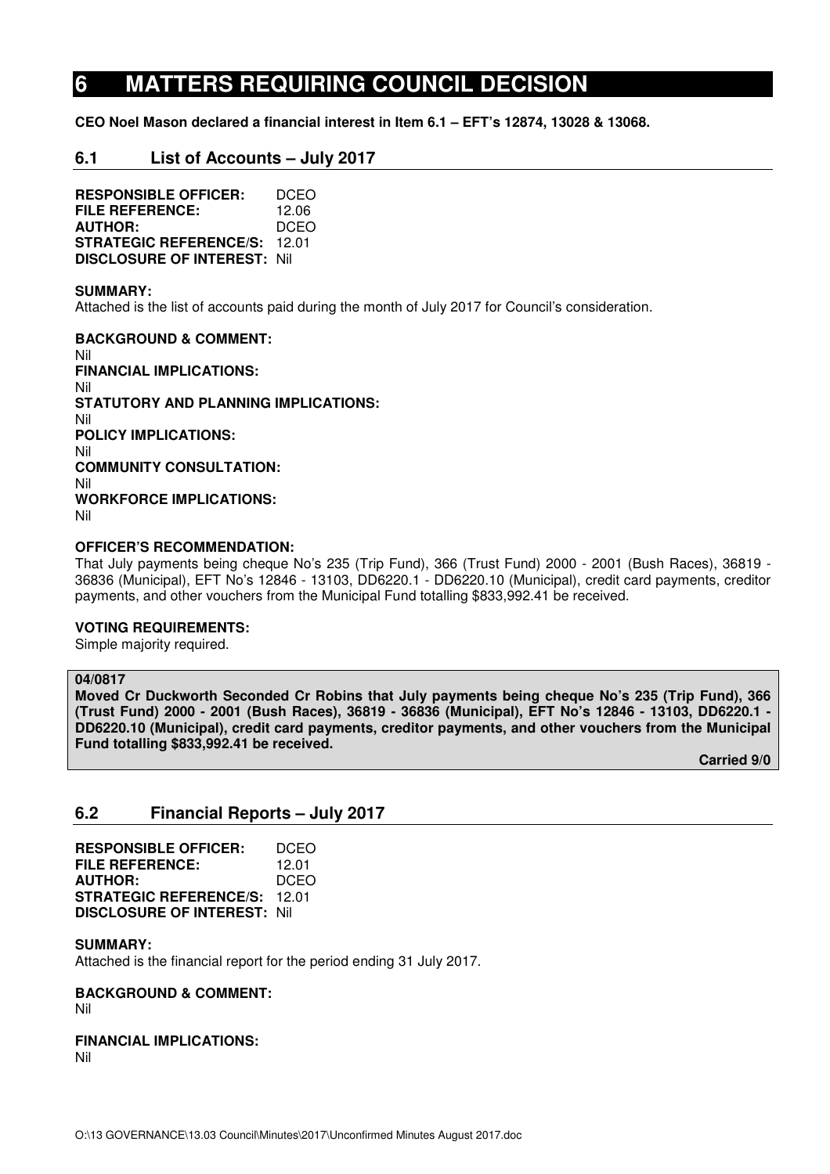# **6 MATTERS REQUIRING COUNCIL DECISION**

**CEO Noel Mason declared a financial interest in Item 6.1 – EFT's 12874, 13028 & 13068.** 

# **6.1 List of Accounts – July 2017**

**RESPONSIBLE OFFICER:** DCEO **FILE REFERENCE:** 12.06 **AUTHOR:** DCEO **STRATEGIC REFERENCE/S:** 12.01 **DISCLOSURE OF INTEREST:** Nil

#### **SUMMARY:**

Attached is the list of accounts paid during the month of July 2017 for Council's consideration.

**BACKGROUND & COMMENT:**  Nil **FINANCIAL IMPLICATIONS:**  Nil **STATUTORY AND PLANNING IMPLICATIONS:**  Nil **POLICY IMPLICATIONS:**  Nil **COMMUNITY CONSULTATION:**  Nil **WORKFORCE IMPLICATIONS:**  Nil

#### **OFFICER'S RECOMMENDATION:**

That July payments being cheque No's 235 (Trip Fund), 366 (Trust Fund) 2000 - 2001 (Bush Races), 36819 - 36836 (Municipal), EFT No's 12846 - 13103, DD6220.1 - DD6220.10 (Municipal), credit card payments, creditor payments, and other vouchers from the Municipal Fund totalling \$833,992.41 be received.

#### **VOTING REQUIREMENTS:**

Simple majority required.

#### **04/0817**

**Moved Cr Duckworth Seconded Cr Robins that July payments being cheque No's 235 (Trip Fund), 366 (Trust Fund) 2000 - 2001 (Bush Races), 36819 - 36836 (Municipal), EFT No's 12846 - 13103, DD6220.1 - DD6220.10 (Municipal), credit card payments, creditor payments, and other vouchers from the Municipal Fund totalling \$833,992.41 be received.** 

 **Carried 9/0** 

# **6.2 Financial Reports – July 2017**

| <b>RESPONSIBLE OFFICER:</b>         | DCEO  |
|-------------------------------------|-------|
| FILE REFERENCE:                     | 12.01 |
| <b>AUTHOR:</b>                      | DCEO  |
| <b>STRATEGIC REFERENCE/S:</b>       | 12 O1 |
| <b>DISCLOSURE OF INTEREST: Nill</b> |       |

#### **SUMMARY:**

Attached is the financial report for the period ending 31 July 2017.

# **BACKGROUND & COMMENT:**

Nil

#### **FINANCIAL IMPLICATIONS:**  Nil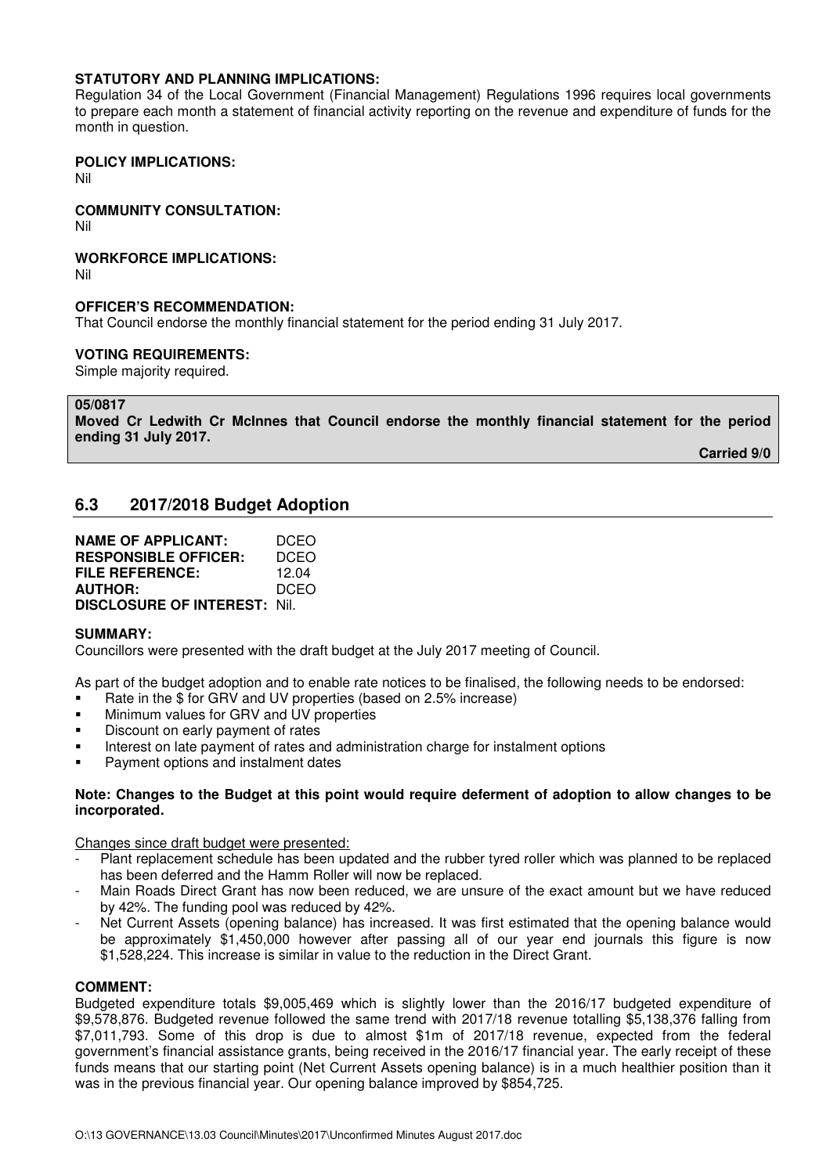## **STATUTORY AND PLANNING IMPLICATIONS:**

Regulation 34 of the Local Government (Financial Management) Regulations 1996 requires local governments to prepare each month a statement of financial activity reporting on the revenue and expenditure of funds for the month in question.

#### **POLICY IMPLICATIONS:**

Nil

## **COMMUNITY CONSULTATION:**

Nil

## **WORKFORCE IMPLICATIONS:**

Nil

## **OFFICER'S RECOMMENDATION:**

That Council endorse the monthly financial statement for the period ending 31 July 2017.

#### **VOTING REQUIREMENTS:**

Simple majority required.

**05/0817** 

**Moved Cr Ledwith Cr McInnes that Council endorse the monthly financial statement for the period ending 31 July 2017.** 

 **Carried 9/0** 

# **6.3 2017/2018 Budget Adoption**

| <b>NAME OF APPLICANT:</b>           | DCEO  |
|-------------------------------------|-------|
| <b>RESPONSIBLE OFFICER:</b>         | DCEO  |
| FILE REFERENCE:                     | 12.04 |
| <b>AUTHOR:</b>                      | DCEO  |
| <b>DISCLOSURE OF INTEREST: Nil.</b> |       |

#### **SUMMARY:**

Councillors were presented with the draft budget at the July 2017 meeting of Council.

As part of the budget adoption and to enable rate notices to be finalised, the following needs to be endorsed:

- Rate in the \$ for GRV and UV properties (based on 2.5% increase)
- Minimum values for GRV and UV properties
- **•** Discount on early payment of rates
- Interest on late payment of rates and administration charge for instalment options
- **•** Payment options and instalment dates

#### **Note: Changes to the Budget at this point would require deferment of adoption to allow changes to be incorporated.**

Changes since draft budget were presented:

- Plant replacement schedule has been updated and the rubber tyred roller which was planned to be replaced has been deferred and the Hamm Roller will now be replaced.
- Main Roads Direct Grant has now been reduced, we are unsure of the exact amount but we have reduced by 42%. The funding pool was reduced by 42%.
- Net Current Assets (opening balance) has increased. It was first estimated that the opening balance would be approximately \$1,450,000 however after passing all of our year end journals this figure is now \$1,528,224. This increase is similar in value to the reduction in the Direct Grant.

#### **COMMENT:**

Budgeted expenditure totals \$9,005,469 which is slightly lower than the 2016/17 budgeted expenditure of \$9,578,876. Budgeted revenue followed the same trend with 2017/18 revenue totalling \$5,138,376 falling from \$7,011,793. Some of this drop is due to almost \$1m of 2017/18 revenue, expected from the federal government's financial assistance grants, being received in the 2016/17 financial year. The early receipt of these funds means that our starting point (Net Current Assets opening balance) is in a much healthier position than it was in the previous financial year. Our opening balance improved by \$854,725.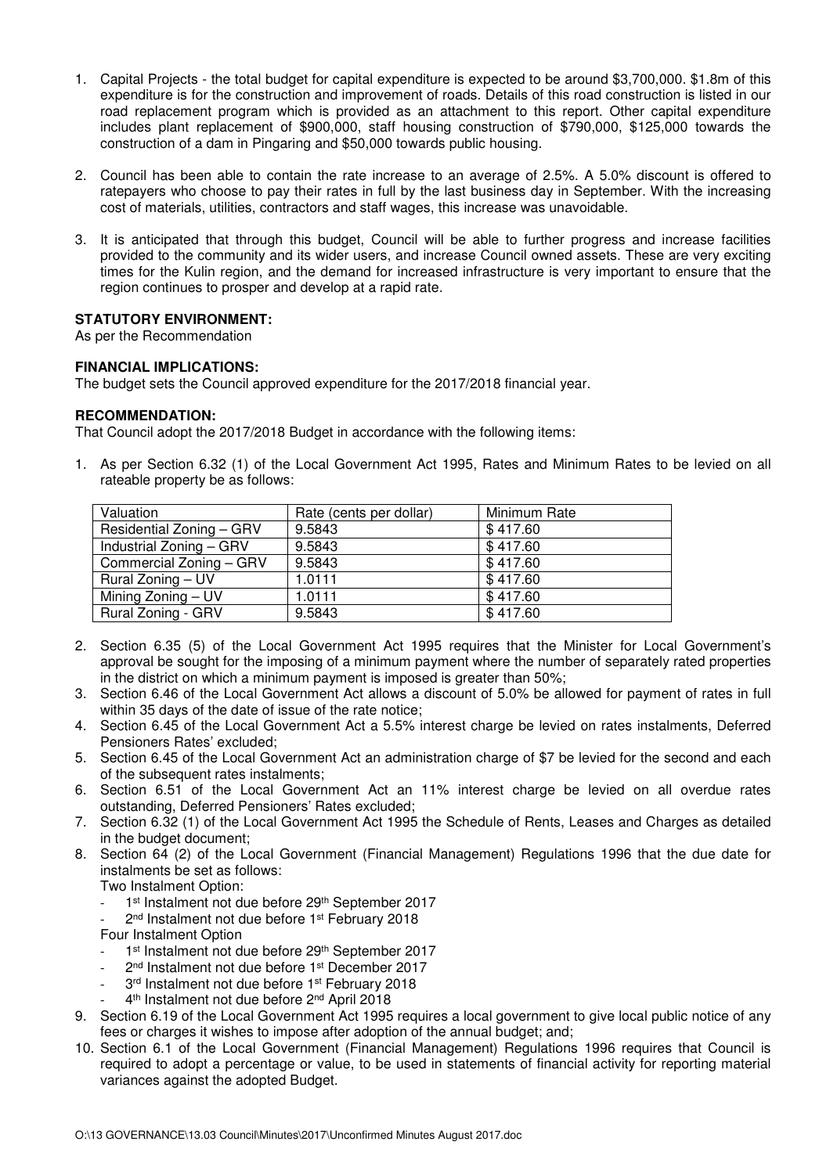- 1. Capital Projects the total budget for capital expenditure is expected to be around \$3,700,000. \$1.8m of this expenditure is for the construction and improvement of roads. Details of this road construction is listed in our road replacement program which is provided as an attachment to this report. Other capital expenditure includes plant replacement of \$900,000, staff housing construction of \$790,000, \$125,000 towards the construction of a dam in Pingaring and \$50,000 towards public housing.
- 2. Council has been able to contain the rate increase to an average of 2.5%. A 5.0% discount is offered to ratepayers who choose to pay their rates in full by the last business day in September. With the increasing cost of materials, utilities, contractors and staff wages, this increase was unavoidable.
- 3. It is anticipated that through this budget, Council will be able to further progress and increase facilities provided to the community and its wider users, and increase Council owned assets. These are very exciting times for the Kulin region, and the demand for increased infrastructure is very important to ensure that the region continues to prosper and develop at a rapid rate.

## **STATUTORY ENVIRONMENT:**

As per the Recommendation

## **FINANCIAL IMPLICATIONS:**

The budget sets the Council approved expenditure for the 2017/2018 financial year.

## **RECOMMENDATION:**

That Council adopt the 2017/2018 Budget in accordance with the following items:

1. As per Section 6.32 (1) of the Local Government Act 1995, Rates and Minimum Rates to be levied on all rateable property be as follows:

| Valuation                | Rate (cents per dollar) | Minimum Rate |
|--------------------------|-------------------------|--------------|
| Residential Zoning - GRV | 9.5843                  | \$417.60     |
| Industrial Zoning - GRV  | 9.5843                  | \$417.60     |
| Commercial Zoning - GRV  | 9.5843                  | \$417.60     |
| Rural Zoning – UV        | 1.0111                  | \$417.60     |
| Mining Zoning - UV       | 1.0111                  | \$417.60     |
| Rural Zoning - GRV       | 9.5843                  | \$417.60     |

- 2. Section 6.35 (5) of the Local Government Act 1995 requires that the Minister for Local Government's approval be sought for the imposing of a minimum payment where the number of separately rated properties in the district on which a minimum payment is imposed is greater than 50%;
- 3. Section 6.46 of the Local Government Act allows a discount of 5.0% be allowed for payment of rates in full within 35 days of the date of issue of the rate notice;
- 4. Section 6.45 of the Local Government Act a 5.5% interest charge be levied on rates instalments, Deferred Pensioners Rates' excluded;
- 5. Section 6.45 of the Local Government Act an administration charge of \$7 be levied for the second and each of the subsequent rates instalments;
- 6. Section 6.51 of the Local Government Act an 11% interest charge be levied on all overdue rates outstanding, Deferred Pensioners' Rates excluded;
- 7. Section 6.32 (1) of the Local Government Act 1995 the Schedule of Rents, Leases and Charges as detailed in the budget document;
- 8. Section 64 (2) of the Local Government (Financial Management) Regulations 1996 that the due date for instalments be set as follows:

Two Instalment Option:

- 1<sup>st</sup> Instalment not due before 29<sup>th</sup> September 2017
- 2<sup>nd</sup> Instalment not due before 1<sup>st</sup> February 2018

Four Instalment Option

- 1<sup>st</sup> Instalment not due before 29<sup>th</sup> September 2017
- 2<sup>nd</sup> Instalment not due before 1<sup>st</sup> December 2017
- 3rd Instalment not due before 1st February 2018
- 4<sup>th</sup> Instalment not due before 2<sup>nd</sup> April 2018
- 9. Section 6.19 of the Local Government Act 1995 requires a local government to give local public notice of any fees or charges it wishes to impose after adoption of the annual budget; and;
- 10. Section 6.1 of the Local Government (Financial Management) Regulations 1996 requires that Council is required to adopt a percentage or value, to be used in statements of financial activity for reporting material variances against the adopted Budget.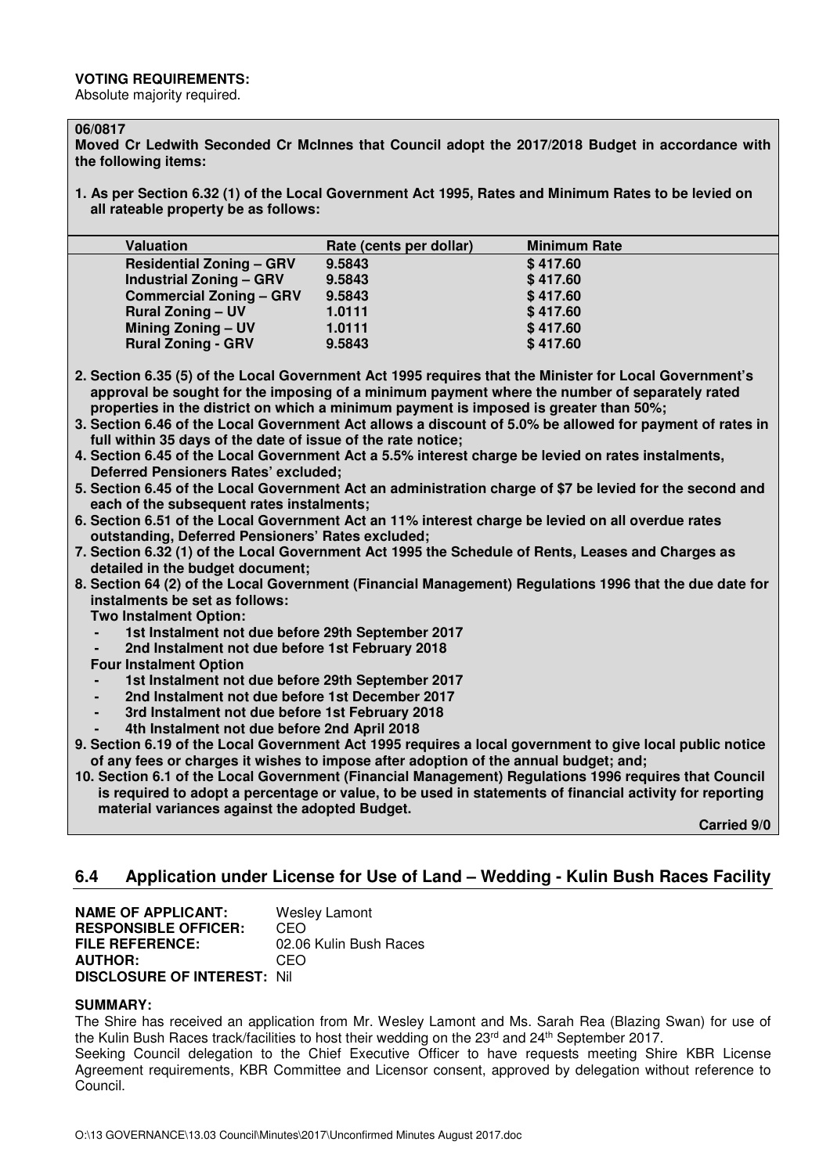#### **VOTING REQUIREMENTS:**

Absolute majority required.

#### **06/0817**

**Moved Cr Ledwith Seconded Cr McInnes that Council adopt the 2017/2018 Budget in accordance with the following items:** 

**1. As per Section 6.32 (1) of the Local Government Act 1995, Rates and Minimum Rates to be levied on all rateable property be as follows:** 

| <b>Valuation</b>                | Rate (cents per dollar) | <b>Minimum Rate</b> |
|---------------------------------|-------------------------|---------------------|
| <b>Residential Zoning - GRV</b> | 9.5843                  | \$417.60            |
| <b>Industrial Zoning - GRV</b>  | 9.5843                  | \$417.60            |
| <b>Commercial Zoning - GRV</b>  | 9.5843                  | \$417.60            |
| <b>Rural Zoning - UV</b>        | 1.0111                  | \$417.60            |
| <b>Mining Zoning - UV</b>       | 1.0111                  | \$417.60            |
| <b>Rural Zoning - GRV</b>       | 9.5843                  | \$417.60            |
|                                 |                         |                     |

**2. Section 6.35 (5) of the Local Government Act 1995 requires that the Minister for Local Government's approval be sought for the imposing of a minimum payment where the number of separately rated properties in the district on which a minimum payment is imposed is greater than 50%;** 

- **3. Section 6.46 of the Local Government Act allows a discount of 5.0% be allowed for payment of rates in full within 35 days of the date of issue of the rate notice;**
- **4. Section 6.45 of the Local Government Act a 5.5% interest charge be levied on rates instalments, Deferred Pensioners Rates' excluded;**
- **5. Section 6.45 of the Local Government Act an administration charge of \$7 be levied for the second and each of the subsequent rates instalments;**
- **6. Section 6.51 of the Local Government Act an 11% interest charge be levied on all overdue rates outstanding, Deferred Pensioners' Rates excluded;**
- **7. Section 6.32 (1) of the Local Government Act 1995 the Schedule of Rents, Leases and Charges as detailed in the budget document;**
- **8. Section 64 (2) of the Local Government (Financial Management) Regulations 1996 that the due date for instalments be set as follows:** 
	- **Two Instalment Option:** 
		- 1st Instalment not due before 29th September 2017
		- **2nd Instalment not due before 1st February 2018**
	- **Four Instalment Option**
	- **1st Instalment not due before 29th September 2017**
	- **2nd Instalment not due before 1st December 2017**
	- **3rd Instalment not due before 1st February 2018**
	- **4th Instalment not due before 2nd April 2018**
- **9. Section 6.19 of the Local Government Act 1995 requires a local government to give local public notice of any fees or charges it wishes to impose after adoption of the annual budget; and;**
- **10. Section 6.1 of the Local Government (Financial Management) Regulations 1996 requires that Council is required to adopt a percentage or value, to be used in statements of financial activity for reporting material variances against the adopted Budget.**

**Carried 9/0** 

# **6.4 Application under License for Use of Land – Wedding - Kulin Bush Races Facility**

**NAME OF APPLICANT:** Wesley Lamont **RESPONSIBLE OFFICER:** CEO **FILE REFERENCE:** 02.06 Kulin Bush Races **AUTHOR:** CEO **DISCLOSURE OF INTEREST:** Nil

#### **SUMMARY:**

The Shire has received an application from Mr. Wesley Lamont and Ms. Sarah Rea (Blazing Swan) for use of the Kulin Bush Races track/facilities to host their wedding on the 23<sup>rd</sup> and 24<sup>th</sup> September 2017.

Seeking Council delegation to the Chief Executive Officer to have requests meeting Shire KBR License Agreement requirements, KBR Committee and Licensor consent, approved by delegation without reference to Council.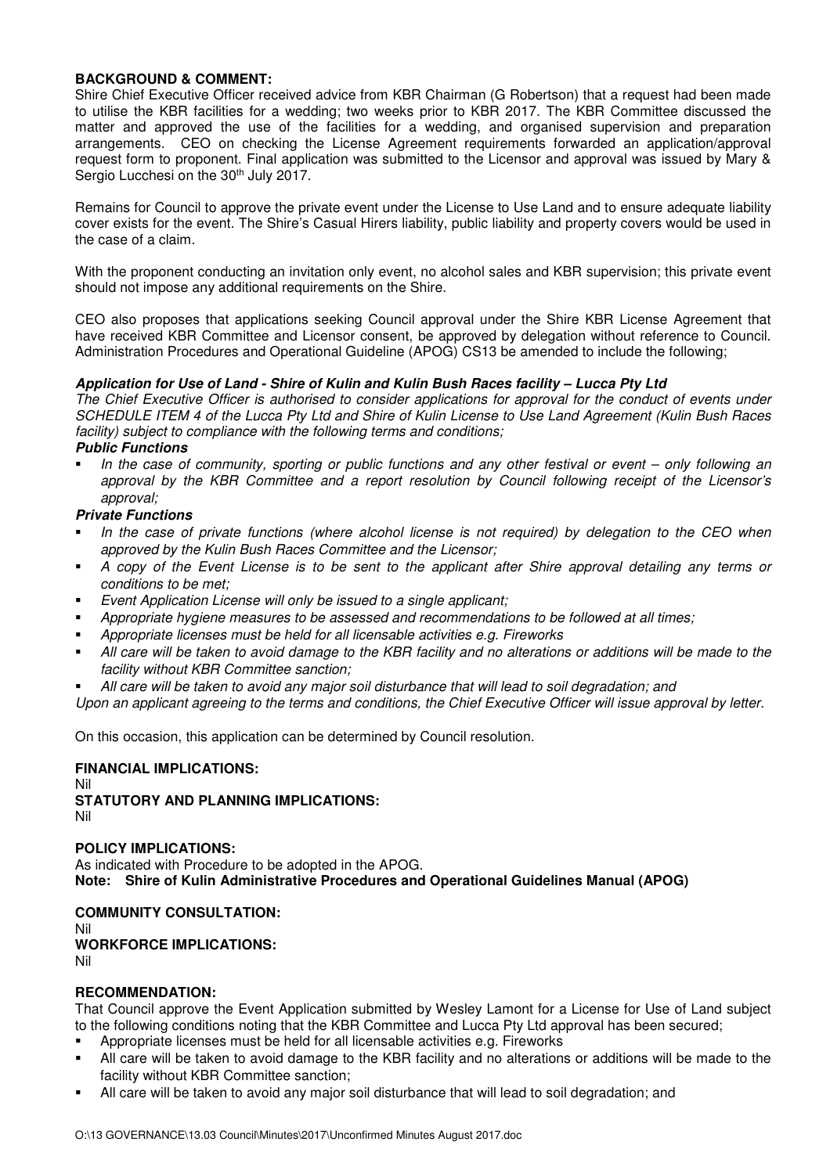## **BACKGROUND & COMMENT:**

Shire Chief Executive Officer received advice from KBR Chairman (G Robertson) that a request had been made to utilise the KBR facilities for a wedding; two weeks prior to KBR 2017. The KBR Committee discussed the matter and approved the use of the facilities for a wedding, and organised supervision and preparation arrangements. CEO on checking the License Agreement requirements forwarded an application/approval request form to proponent. Final application was submitted to the Licensor and approval was issued by Mary & Sergio Lucchesi on the 30<sup>th</sup> July 2017.

Remains for Council to approve the private event under the License to Use Land and to ensure adequate liability cover exists for the event. The Shire's Casual Hirers liability, public liability and property covers would be used in the case of a claim.

With the proponent conducting an invitation only event, no alcohol sales and KBR supervision; this private event should not impose any additional requirements on the Shire.

CEO also proposes that applications seeking Council approval under the Shire KBR License Agreement that have received KBR Committee and Licensor consent, be approved by delegation without reference to Council. Administration Procedures and Operational Guideline (APOG) CS13 be amended to include the following;

## **Application for Use of Land - Shire of Kulin and Kulin Bush Races facility – Lucca Pty Ltd**

The Chief Executive Officer is authorised to consider applications for approval for the conduct of events under SCHEDULE ITEM 4 of the Lucca Pty Ltd and Shire of Kulin License to Use Land Agreement (Kulin Bush Races facility) subject to compliance with the following terms and conditions;

# **Public Functions**

 In the case of community, sporting or public functions and any other festival or event – only following an approval by the KBR Committee and a report resolution by Council following receipt of the Licensor's approval;

## **Private Functions**

- In the case of private functions (where alcohol license is not required) by delegation to the CEO when approved by the Kulin Bush Races Committee and the Licensor;
- A copy of the Event License is to be sent to the applicant after Shire approval detailing any terms or conditions to be met;
- Event Application License will only be issued to a single applicant;
- Appropriate hygiene measures to be assessed and recommendations to be followed at all times;
- Appropriate licenses must be held for all licensable activities e.g. Fireworks
- All care will be taken to avoid damage to the KBR facility and no alterations or additions will be made to the facility without KBR Committee sanction;
- All care will be taken to avoid any major soil disturbance that will lead to soil degradation; and
- Upon an applicant agreeing to the terms and conditions, the Chief Executive Officer will issue approval by letter.

On this occasion, this application can be determined by Council resolution.

#### **FINANCIAL IMPLICATIONS:**

Nil **STATUTORY AND PLANNING IMPLICATIONS:**  Nil

#### **POLICY IMPLICATIONS:**

As indicated with Procedure to be adopted in the APOG. **Note: Shire of Kulin Administrative Procedures and Operational Guidelines Manual (APOG)** 

**COMMUNITY CONSULTATION:** Nil **WORKFORCE IMPLICATIONS:** Nil

#### **RECOMMENDATION:**

That Council approve the Event Application submitted by Wesley Lamont for a License for Use of Land subject to the following conditions noting that the KBR Committee and Lucca Pty Ltd approval has been secured;

- Appropriate licenses must be held for all licensable activities e.g. Fireworks
- All care will be taken to avoid damage to the KBR facility and no alterations or additions will be made to the facility without KBR Committee sanction;
- All care will be taken to avoid any major soil disturbance that will lead to soil degradation; and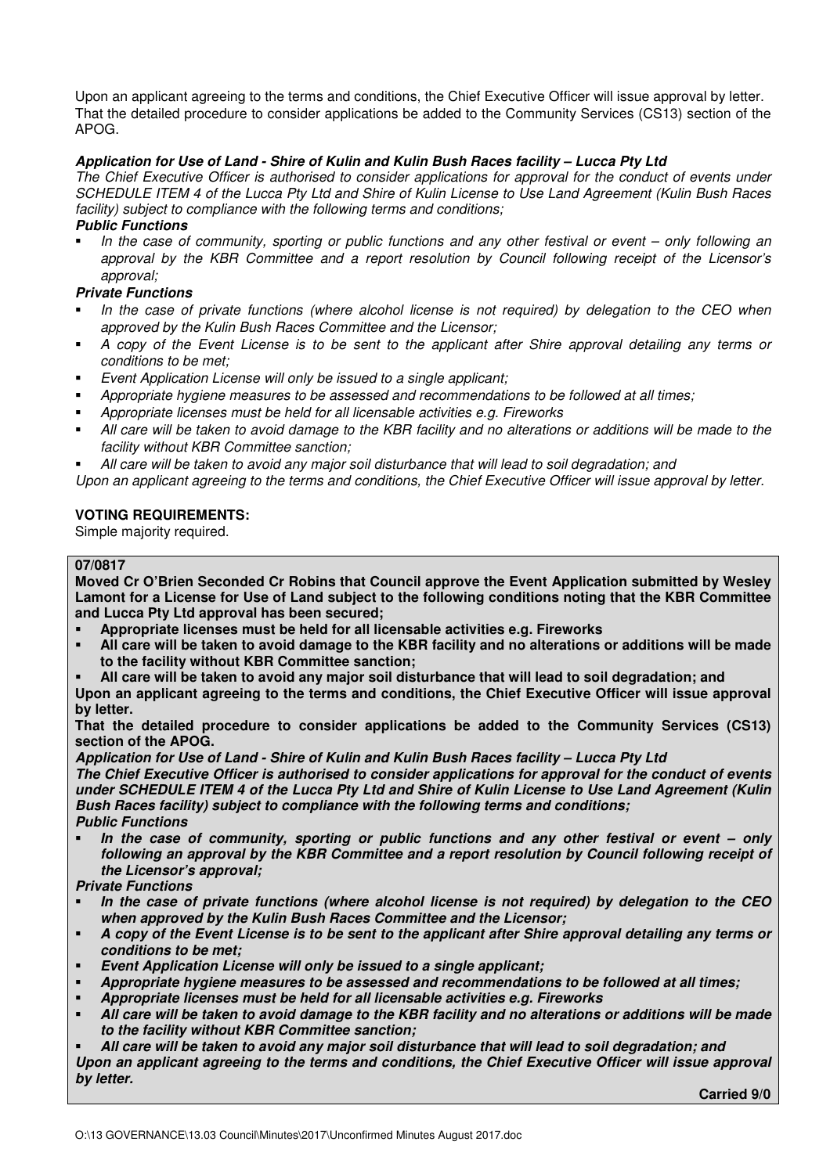Upon an applicant agreeing to the terms and conditions, the Chief Executive Officer will issue approval by letter. That the detailed procedure to consider applications be added to the Community Services (CS13) section of the APOG.

# **Application for Use of Land - Shire of Kulin and Kulin Bush Races facility – Lucca Pty Ltd**

The Chief Executive Officer is authorised to consider applications for approval for the conduct of events under SCHEDULE ITEM 4 of the Lucca Pty Ltd and Shire of Kulin License to Use Land Agreement (Kulin Bush Races facility) subject to compliance with the following terms and conditions;

#### **Public Functions**

 In the case of community, sporting or public functions and any other festival or event – only following an approval by the KBR Committee and a report resolution by Council following receipt of the Licensor's approval;

## **Private Functions**

- In the case of private functions (where alcohol license is not required) by delegation to the CEO when approved by the Kulin Bush Races Committee and the Licensor;
- A copy of the Event License is to be sent to the applicant after Shire approval detailing any terms or conditions to be met;
- **E**vent Application License will only be issued to a single applicant;
- Appropriate hygiene measures to be assessed and recommendations to be followed at all times;
- Appropriate licenses must be held for all licensable activities e.g. Fireworks
- All care will be taken to avoid damage to the KBR facility and no alterations or additions will be made to the facility without KBR Committee sanction;
- All care will be taken to avoid any major soil disturbance that will lead to soil degradation; and

Upon an applicant agreeing to the terms and conditions, the Chief Executive Officer will issue approval by letter.

## **VOTING REQUIREMENTS:**

Simple majority required.

# **07/0817**

**Moved Cr O'Brien Seconded Cr Robins that Council approve the Event Application submitted by Wesley Lamont for a License for Use of Land subject to the following conditions noting that the KBR Committee and Lucca Pty Ltd approval has been secured;** 

- **Appropriate licenses must be held for all licensable activities e.g. Fireworks**
- **All care will be taken to avoid damage to the KBR facility and no alterations or additions will be made to the facility without KBR Committee sanction;**
- **All care will be taken to avoid any major soil disturbance that will lead to soil degradation; and**

**Upon an applicant agreeing to the terms and conditions, the Chief Executive Officer will issue approval by letter.** 

**That the detailed procedure to consider applications be added to the Community Services (CS13) section of the APOG.** 

**Application for Use of Land - Shire of Kulin and Kulin Bush Races facility – Lucca Pty Ltd The Chief Executive Officer is authorised to consider applications for approval for the conduct of events under SCHEDULE ITEM 4 of the Lucca Pty Ltd and Shire of Kulin License to Use Land Agreement (Kulin Bush Races facility) subject to compliance with the following terms and conditions; Public Functions** 

 **In the case of community, sporting or public functions and any other festival or event – only following an approval by the KBR Committee and a report resolution by Council following receipt of the Licensor's approval;** 

# **Private Functions**

- **In the case of private functions (where alcohol license is not required) by delegation to the CEO when approved by the Kulin Bush Races Committee and the Licensor;**
- **A copy of the Event License is to be sent to the applicant after Shire approval detailing any terms or conditions to be met;**
- **Event Application License will only be issued to a single applicant;**
- **Appropriate hygiene measures to be assessed and recommendations to be followed at all times;**
- **Appropriate licenses must be held for all licensable activities e.g. Fireworks**
- **All care will be taken to avoid damage to the KBR facility and no alterations or additions will be made to the facility without KBR Committee sanction;**

 **All care will be taken to avoid any major soil disturbance that will lead to soil degradation; and Upon an applicant agreeing to the terms and conditions, the Chief Executive Officer will issue approval by letter.**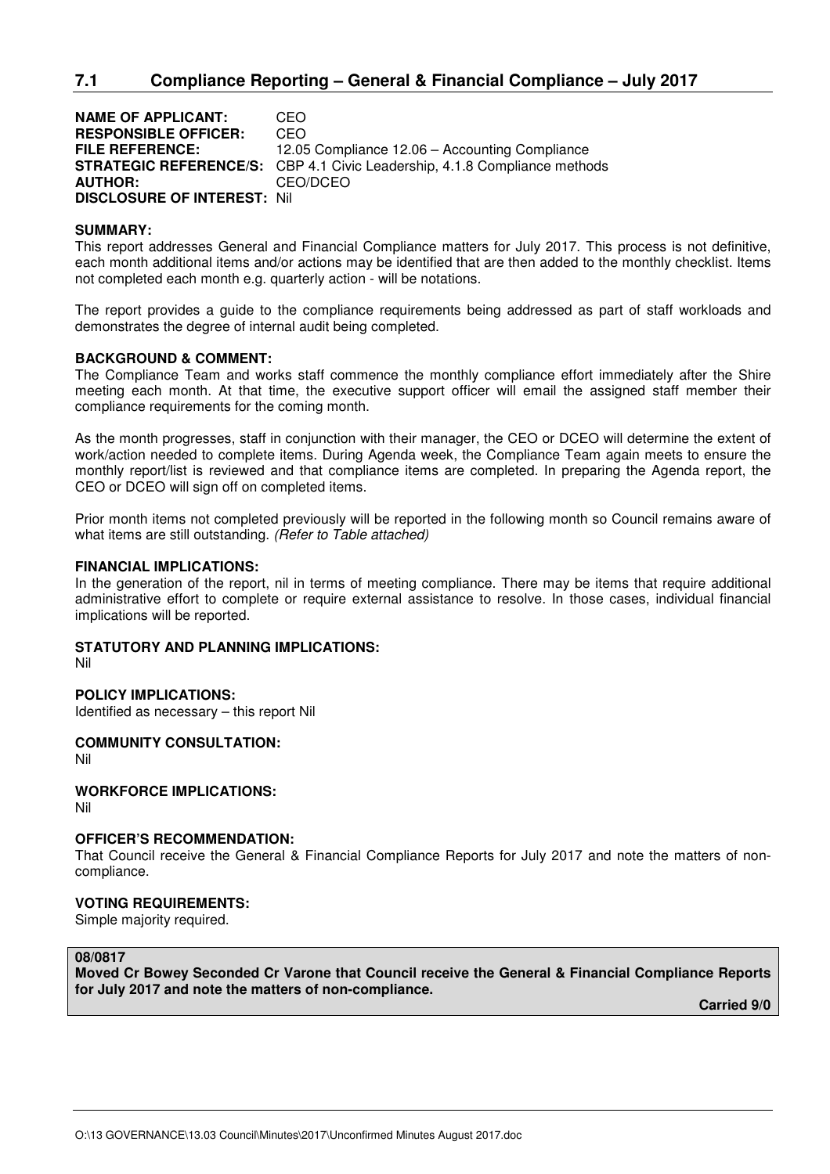# **7.1 Compliance Reporting – General & Financial Compliance – July 2017**

**NAME OF APPLICANT:** CEO **RESPONSIBLE OFFICER:** CEO **FILE REFERENCE:** 12.05 Compliance 12.06 – Accounting Compliance **STRATEGIC REFERENCE/S:** CBP 4.1 Civic Leadership, 4.1.8 Compliance methods **AUTHOR:** CEO/DCEO **DISCLOSURE OF INTEREST:** Nil

#### **SUMMARY:**

This report addresses General and Financial Compliance matters for July 2017. This process is not definitive, each month additional items and/or actions may be identified that are then added to the monthly checklist. Items not completed each month e.g. quarterly action - will be notations.

The report provides a guide to the compliance requirements being addressed as part of staff workloads and demonstrates the degree of internal audit being completed.

#### **BACKGROUND & COMMENT:**

The Compliance Team and works staff commence the monthly compliance effort immediately after the Shire meeting each month. At that time, the executive support officer will email the assigned staff member their compliance requirements for the coming month.

As the month progresses, staff in conjunction with their manager, the CEO or DCEO will determine the extent of work/action needed to complete items. During Agenda week, the Compliance Team again meets to ensure the monthly report/list is reviewed and that compliance items are completed. In preparing the Agenda report, the CEO or DCEO will sign off on completed items.

Prior month items not completed previously will be reported in the following month so Council remains aware of what items are still outstanding. (Refer to Table attached)

#### **FINANCIAL IMPLICATIONS:**

In the generation of the report, nil in terms of meeting compliance. There may be items that require additional administrative effort to complete or require external assistance to resolve. In those cases, individual financial implications will be reported.

#### **STATUTORY AND PLANNING IMPLICATIONS:**

Nil

#### **POLICY IMPLICATIONS:**

Identified as necessary – this report Nil

**COMMUNITY CONSULTATION:**  Nil

# **WORKFORCE IMPLICATIONS:**

Nil

#### **OFFICER'S RECOMMENDATION:**

That Council receive the General & Financial Compliance Reports for July 2017 and note the matters of noncompliance.

#### **VOTING REQUIREMENTS:**

Simple majority required.

# **08/0817**

**Moved Cr Bowey Seconded Cr Varone that Council receive the General & Financial Compliance Reports for July 2017 and note the matters of non-compliance.**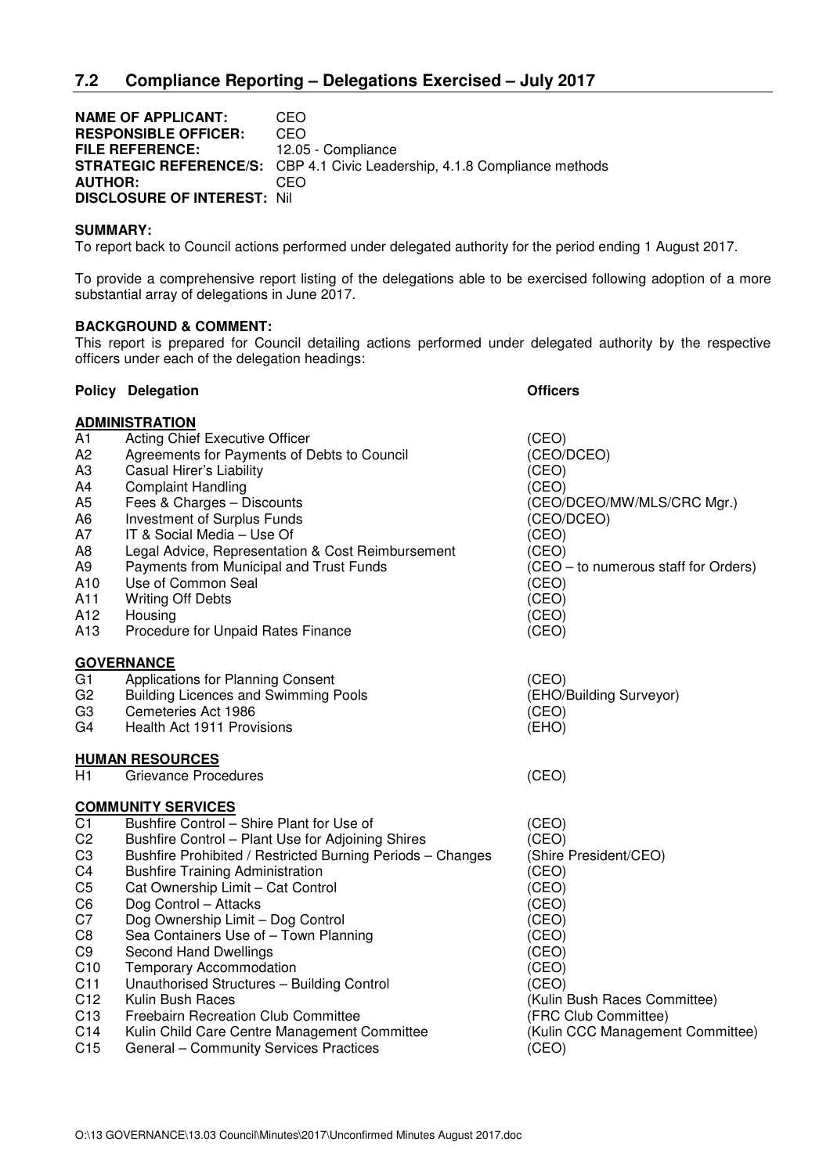**NAME OF APPLICANT: CEO<br>
RESPONSIBLE OFFICER: CEO RESPONSIBLE OFFICER: FILE REFERENCE:** 12.05 - Compliance **STRATEGIC REFERENCE/S:** CBP 4.1 Civic Leadership, 4.1.8 Compliance methods **AUTHOR:** CEO **DISCLOSURE OF INTEREST:** Nil

#### **SUMMARY:**

To report back to Council actions performed under delegated authority for the period ending 1 August 2017.

To provide a comprehensive report listing of the delegations able to be exercised following adoption of a more substantial array of delegations in June 2017.

#### **BACKGROUND & COMMENT:**

This report is prepared for Council detailing actions performed under delegated authority by the respective officers under each of the delegation headings:

| <b>Policy Delegation</b>                                                                                                                                                                                                                                                                                                                                                                                                                                                                                                                                                              | <b>Officers</b>                                                                                                                                                                                                      |
|---------------------------------------------------------------------------------------------------------------------------------------------------------------------------------------------------------------------------------------------------------------------------------------------------------------------------------------------------------------------------------------------------------------------------------------------------------------------------------------------------------------------------------------------------------------------------------------|----------------------------------------------------------------------------------------------------------------------------------------------------------------------------------------------------------------------|
|                                                                                                                                                                                                                                                                                                                                                                                                                                                                                                                                                                                       |                                                                                                                                                                                                                      |
| <b>Acting Chief Executive Officer</b><br>Agreements for Payments of Debts to Council<br>Casual Hirer's Liability<br><b>Complaint Handling</b><br>Fees & Charges - Discounts<br>Investment of Surplus Funds<br>IT & Social Media - Use Of<br>Legal Advice, Representation & Cost Reimbursement<br>Payments from Municipal and Trust Funds<br>Use of Common Seal<br><b>Writing Off Debts</b><br>Housing<br>Procedure for Unpaid Rates Finance                                                                                                                                           | (CEO)<br>(CEO/DCEO)<br>(CEO)<br>(CEO)<br>(CEO/DCEO/MW/MLS/CRC Mgr.)<br>(CEO/DCEO)<br>(CEO)<br>(CEO)<br>(CEO – to numerous staff for Orders)<br>(CEO)<br>(CEO)<br>(CEO)<br>(CEO)                                      |
|                                                                                                                                                                                                                                                                                                                                                                                                                                                                                                                                                                                       |                                                                                                                                                                                                                      |
| Applications for Planning Consent<br><b>Building Licences and Swimming Pools</b><br>Cemeteries Act 1986<br>Health Act 1911 Provisions                                                                                                                                                                                                                                                                                                                                                                                                                                                 | (CEO)<br>(EHO/Building Surveyor)<br>(CEO)<br>(EHO)                                                                                                                                                                   |
| <b>HUMAN RESOURCES</b>                                                                                                                                                                                                                                                                                                                                                                                                                                                                                                                                                                |                                                                                                                                                                                                                      |
|                                                                                                                                                                                                                                                                                                                                                                                                                                                                                                                                                                                       | (CEO)                                                                                                                                                                                                                |
|                                                                                                                                                                                                                                                                                                                                                                                                                                                                                                                                                                                       |                                                                                                                                                                                                                      |
| Bushfire Control - Shire Plant for Use of<br>Bushfire Control - Plant Use for Adjoining Shires<br>Bushfire Prohibited / Restricted Burning Periods - Changes<br><b>Bushfire Training Administration</b><br>Cat Ownership Limit - Cat Control<br>Dog Control - Attacks<br>Dog Ownership Limit - Dog Control<br>Sea Containers Use of - Town Planning<br><b>Second Hand Dwellings</b><br><b>Temporary Accommodation</b><br>Unauthorised Structures - Building Control<br>Kulin Bush Races<br><b>Freebairn Recreation Club Committee</b><br>Kulin Child Care Centre Management Committee | (CEO)<br>(CEO)<br>(Shire President/CEO)<br>(CEO)<br>(CEO)<br>(CEO)<br>(CEO)<br>(CEO)<br>(CEO)<br>(CEO)<br>(CEO)<br>(Kulin Bush Races Committee)<br>(FRC Club Committee)<br>(Kulin CCC Management Committee)<br>(CEO) |
|                                                                                                                                                                                                                                                                                                                                                                                                                                                                                                                                                                                       | <b>ADMINISTRATION</b><br><b>GOVERNANCE</b><br><b>Grievance Procedures</b><br><b>COMMUNITY SERVICES</b><br>General - Community Services Practices                                                                     |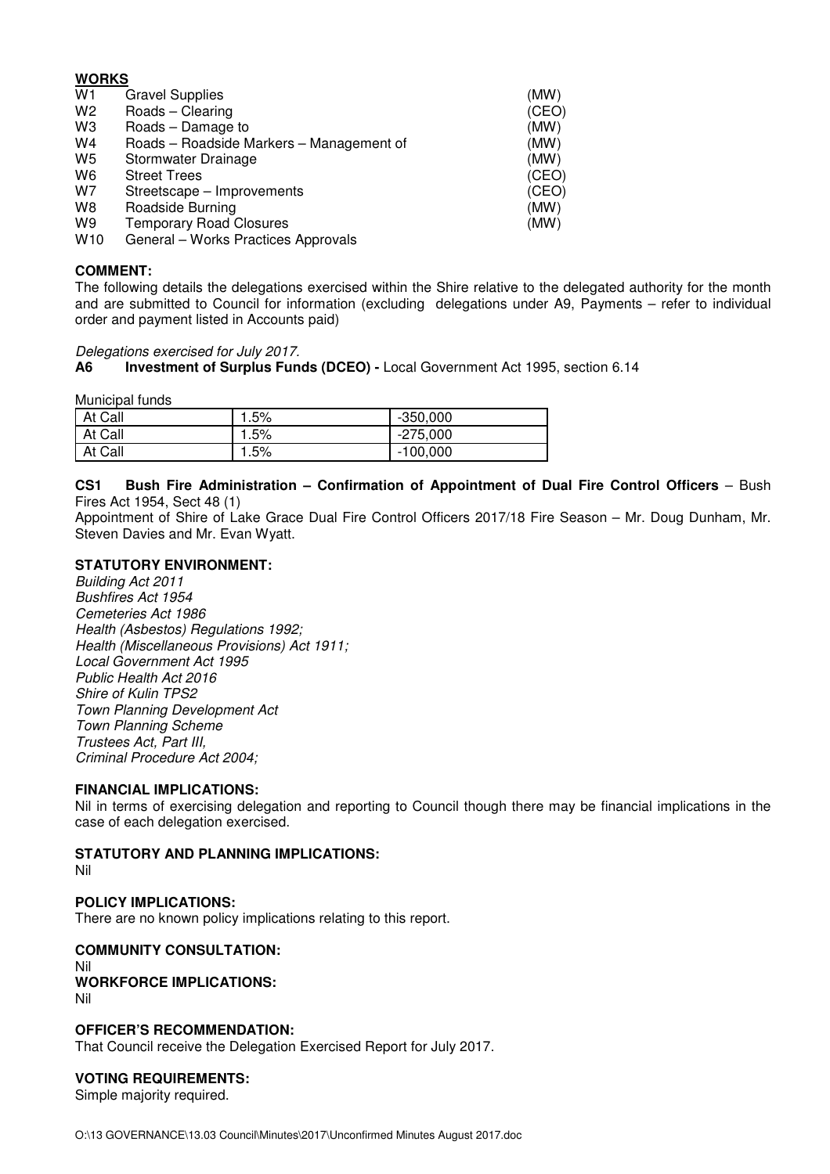# **WORKS**

| W1              | <b>Gravel Supplies</b>                   | (MW)  |
|-----------------|------------------------------------------|-------|
| W <sub>2</sub>  | Roads - Clearing                         | (CEO) |
| W3              | Roads - Damage to                        | (MW)  |
| W4              | Roads - Roadside Markers - Management of | (MW)  |
| W5              | Stormwater Drainage                      | (MW)  |
| W6              | <b>Street Trees</b>                      | (CEO) |
| W7              | Streetscape - Improvements               | (CEO) |
| W8              | Roadside Burning                         | (MW)  |
| W9              | <b>Temporary Road Closures</b>           | (MW)  |
| W <sub>10</sub> | General - Works Practices Approvals      |       |

# **COMMENT:**

The following details the delegations exercised within the Shire relative to the delegated authority for the month and are submitted to Council for information (excluding delegations under A9, Payments – refer to individual order and payment listed in Accounts paid)

Delegations exercised for July 2017.

# **A6 Investment of Surplus Funds (DCEO) -** Local Government Act 1995, section 6.14

Municipal funds

| At Call | 5%. ا | $-350,000$ |
|---------|-------|------------|
| At Call | 1.5%  | $-275,000$ |
| At Call | 5%،   | $-100,000$ |

#### CS1 Bush Fire Administration - Confirmation of Appointment of Dual Fire Control Officers - Bush Fires Act 1954, Sect 48 (1)

Appointment of Shire of Lake Grace Dual Fire Control Officers 2017/18 Fire Season – Mr. Doug Dunham, Mr. Steven Davies and Mr. Evan Wyatt.

## **STATUTORY ENVIRONMENT:**

Building Act 2011 Bushfires Act 1954 Cemeteries Act 1986 Health (Asbestos) Regulations 1992; Health (Miscellaneous Provisions) Act 1911; Local Government Act 1995 Public Health Act 2016 Shire of Kulin TPS2 Town Planning Development Act Town Planning Scheme Trustees Act, Part III, Criminal Procedure Act 2004;

#### **FINANCIAL IMPLICATIONS:**

Nil in terms of exercising delegation and reporting to Council though there may be financial implications in the case of each delegation exercised.

#### **STATUTORY AND PLANNING IMPLICATIONS:**

Nil

# **POLICY IMPLICATIONS:**

There are no known policy implications relating to this report.

# **COMMUNITY CONSULTATION:**

Nil

# **WORKFORCE IMPLICATIONS:**

Nil

# **OFFICER'S RECOMMENDATION:**

That Council receive the Delegation Exercised Report for July 2017.

# **VOTING REQUIREMENTS:**

Simple majority required.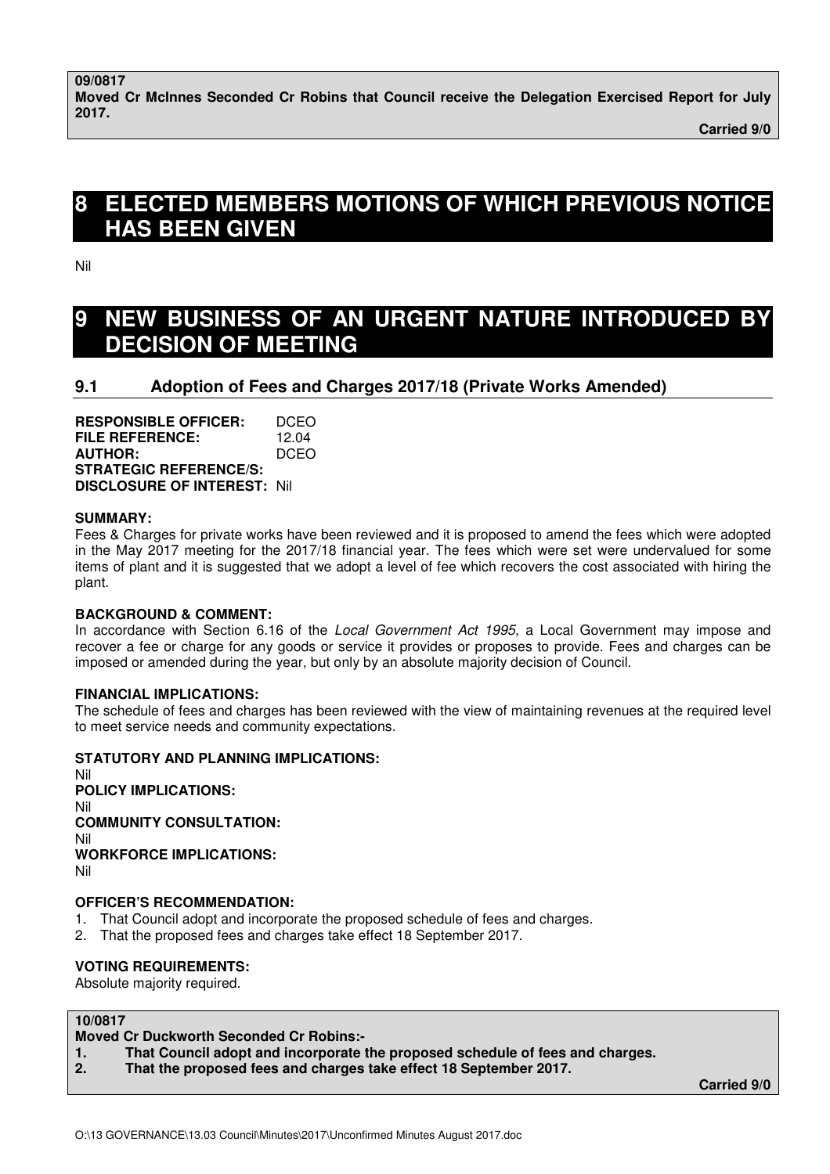**Carried 9/0** 

# **8 ELECTED MEMBERS MOTIONS OF WHICH PREVIOUS NOTICE HAS BEEN GIVEN**

Nil

# **9 NEW BUSINESS OF AN URGENT NATURE INTRODUCED BY DECISION OF MEETING**

# **9.1 Adoption of Fees and Charges 2017/18 (Private Works Amended)**

**RESPONSIBLE OFFICER:** DCEO **FILE REFERENCE:** 12.04 **AUTHOR:** DCEO **STRATEGIC REFERENCE/S: DISCLOSURE OF INTEREST:** Nil

# **SUMMARY:**

Fees & Charges for private works have been reviewed and it is proposed to amend the fees which were adopted in the May 2017 meeting for the 2017/18 financial year. The fees which were set were undervalued for some items of plant and it is suggested that we adopt a level of fee which recovers the cost associated with hiring the plant.

# **BACKGROUND & COMMENT:**

In accordance with Section 6.16 of the Local Government Act 1995, a Local Government may impose and recover a fee or charge for any goods or service it provides or proposes to provide. Fees and charges can be imposed or amended during the year, but only by an absolute majority decision of Council.

# **FINANCIAL IMPLICATIONS:**

The schedule of fees and charges has been reviewed with the view of maintaining revenues at the required level to meet service needs and community expectations.

# **STATUTORY AND PLANNING IMPLICATIONS:**

Nil **POLICY IMPLICATIONS:** Nil **COMMUNITY CONSULTATION:** Nil **WORKFORCE IMPLICATIONS:** Nil

# **OFFICER'S RECOMMENDATION:**

- 1. That Council adopt and incorporate the proposed schedule of fees and charges.
- 2. That the proposed fees and charges take effect 18 September 2017.

# **VOTING REQUIREMENTS:**

Absolute majority required.

# **10/0817**

# **Moved Cr Duckworth Seconded Cr Robins:-**

- **1. That Council adopt and incorporate the proposed schedule of fees and charges.**
- **2. That the proposed fees and charges take effect 18 September 2017.**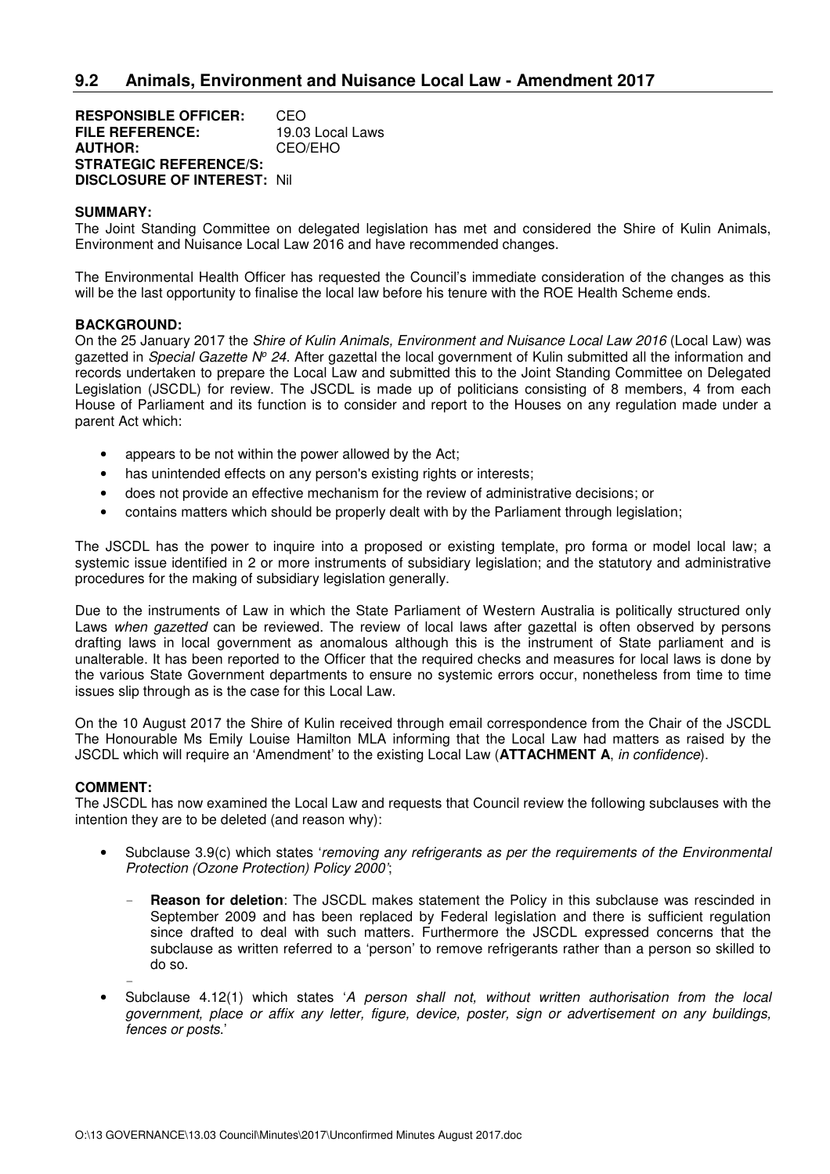**RESPONSIBLE OFFICER:** CEO<br> **FILE REFERENCE:** 19.03 Local Laws **FILE REFERENCE: AUTHOR:** CEO/EHO **STRATEGIC REFERENCE/S: DISCLOSURE OF INTEREST:** Nil

#### **SUMMARY:**

The Joint Standing Committee on delegated legislation has met and considered the Shire of Kulin Animals, Environment and Nuisance Local Law 2016 and have recommended changes.

The Environmental Health Officer has requested the Council's immediate consideration of the changes as this will be the last opportunity to finalise the local law before his tenure with the ROE Health Scheme ends.

#### **BACKGROUND:**

On the 25 January 2017 the Shire of Kulin Animals, Environment and Nuisance Local Law 2016 (Local Law) was gazetted in *Special Gazette Nº 24*. After gazettal the local government of Kulin submitted all the information and records undertaken to prepare the Local Law and submitted this to the Joint Standing Committee on Delegated Legislation (JSCDL) for review. The JSCDL is made up of politicians consisting of 8 members, 4 from each House of Parliament and its function is to consider and report to the Houses on any regulation made under a parent Act which:

- appears to be not within the power allowed by the Act;
- has unintended effects on any person's existing rights or interests;
- does not provide an effective mechanism for the review of administrative decisions; or
- contains matters which should be properly dealt with by the Parliament through legislation;

The JSCDL has the power to inquire into a proposed or existing template, pro forma or model local law; a systemic issue identified in 2 or more instruments of subsidiary legislation; and the statutory and administrative procedures for the making of subsidiary legislation generally.

Due to the instruments of Law in which the State Parliament of Western Australia is politically structured only Laws when gazetted can be reviewed. The review of local laws after gazettal is often observed by persons drafting laws in local government as anomalous although this is the instrument of State parliament and is unalterable. It has been reported to the Officer that the required checks and measures for local laws is done by the various State Government departments to ensure no systemic errors occur, nonetheless from time to time issues slip through as is the case for this Local Law.

On the 10 August 2017 the Shire of Kulin received through email correspondence from the Chair of the JSCDL The Honourable Ms Emily Louise Hamilton MLA informing that the Local Law had matters as raised by the JSCDL which will require an 'Amendment' to the existing Local Law (**ATTACHMENT A**, in confidence).

#### **COMMENT:**

The JSCDL has now examined the Local Law and requests that Council review the following subclauses with the intention they are to be deleted (and reason why):

- Subclause 3.9(c) which states 'removing any refrigerants as per the requirements of the Environmental Protection (Ozone Protection) Policy 2000';
	- **Reason for deletion**: The JSCDL makes statement the Policy in this subclause was rescinded in September 2009 and has been replaced by Federal legislation and there is sufficient regulation since drafted to deal with such matters. Furthermore the JSCDL expressed concerns that the subclause as written referred to a 'person' to remove refrigerants rather than a person so skilled to do so.
	- -
- Subclause 4.12(1) which states 'A person shall not, without written authorisation from the local government, place or affix any letter, figure, device, poster, sign or advertisement on any buildings, fences or posts.'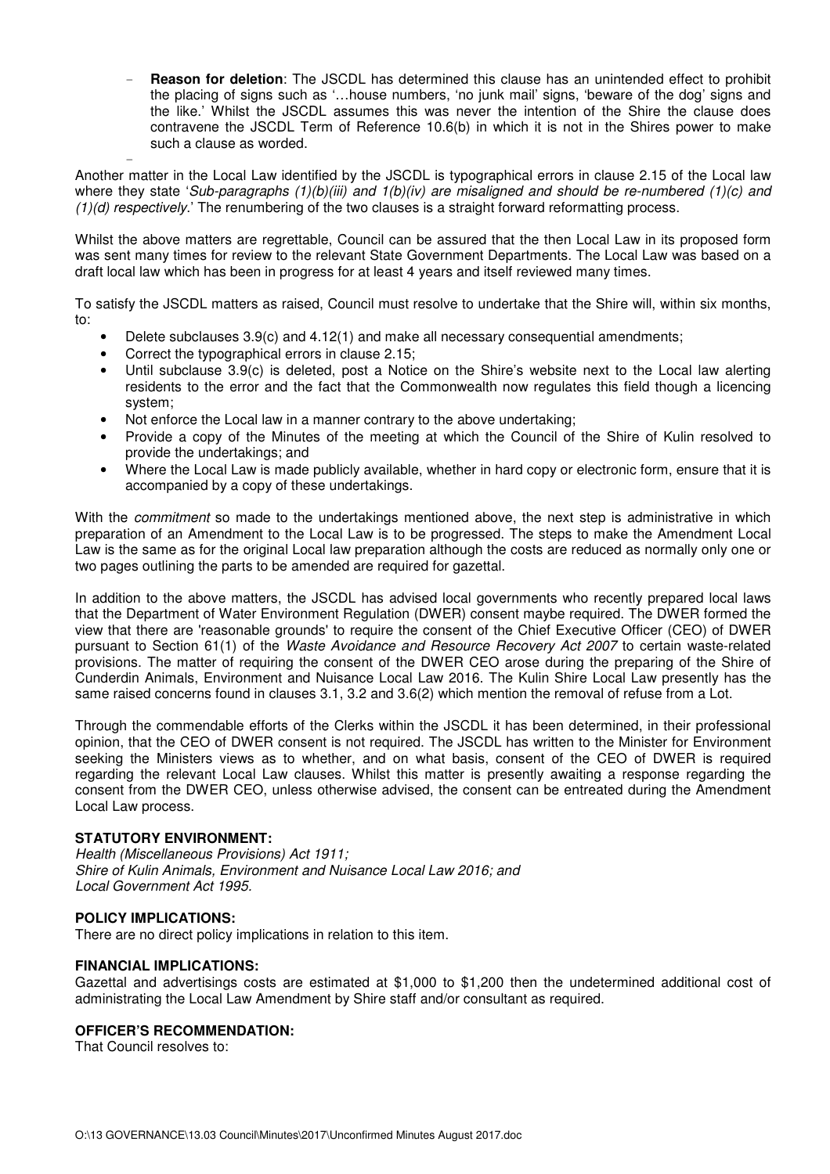**Reason for deletion**: The JSCDL has determined this clause has an unintended effect to prohibit the placing of signs such as '…house numbers, 'no junk mail' signs, 'beware of the dog' signs and the like.' Whilst the JSCDL assumes this was never the intention of the Shire the clause does contravene the JSCDL Term of Reference 10.6(b) in which it is not in the Shires power to make such a clause as worded.

- Another matter in the Local Law identified by the JSCDL is typographical errors in clause 2.15 of the Local law where they state 'Sub-paragraphs  $(1)(b)(iii)$  and  $1(b)(iv)$  are misaligned and should be re-numbered  $(1)(c)$  and (1)(d) respectively.' The renumbering of the two clauses is a straight forward reformatting process.

Whilst the above matters are regrettable, Council can be assured that the then Local Law in its proposed form was sent many times for review to the relevant State Government Departments. The Local Law was based on a draft local law which has been in progress for at least 4 years and itself reviewed many times.

To satisfy the JSCDL matters as raised, Council must resolve to undertake that the Shire will, within six months, to:

- Delete subclauses 3.9(c) and 4.12(1) and make all necessary consequential amendments;
- Correct the typographical errors in clause 2.15;
- Until subclause 3.9(c) is deleted, post a Notice on the Shire's website next to the Local law alerting residents to the error and the fact that the Commonwealth now regulates this field though a licencing system;
- Not enforce the Local law in a manner contrary to the above undertaking;
- Provide a copy of the Minutes of the meeting at which the Council of the Shire of Kulin resolved to provide the undertakings; and
- Where the Local Law is made publicly available, whether in hard copy or electronic form, ensure that it is accompanied by a copy of these undertakings.

With the *commitment* so made to the undertakings mentioned above, the next step is administrative in which preparation of an Amendment to the Local Law is to be progressed. The steps to make the Amendment Local Law is the same as for the original Local law preparation although the costs are reduced as normally only one or two pages outlining the parts to be amended are required for gazettal.

In addition to the above matters, the JSCDL has advised local governments who recently prepared local laws that the Department of Water Environment Regulation (DWER) consent maybe required. The DWER formed the view that there are 'reasonable grounds' to require the consent of the Chief Executive Officer (CEO) of DWER pursuant to Section 61(1) of the Waste Avoidance and Resource Recovery Act 2007 to certain waste-related provisions. The matter of requiring the consent of the DWER CEO arose during the preparing of the Shire of Cunderdin Animals, Environment and Nuisance Local Law 2016. The Kulin Shire Local Law presently has the same raised concerns found in clauses 3.1, 3.2 and 3.6(2) which mention the removal of refuse from a Lot.

Through the commendable efforts of the Clerks within the JSCDL it has been determined, in their professional opinion, that the CEO of DWER consent is not required. The JSCDL has written to the Minister for Environment seeking the Ministers views as to whether, and on what basis, consent of the CEO of DWER is required regarding the relevant Local Law clauses. Whilst this matter is presently awaiting a response regarding the consent from the DWER CEO, unless otherwise advised, the consent can be entreated during the Amendment Local Law process.

# **STATUTORY ENVIRONMENT:**

Health (Miscellaneous Provisions) Act 1911; Shire of Kulin Animals, Environment and Nuisance Local Law 2016; and Local Government Act 1995.

# **POLICY IMPLICATIONS:**

There are no direct policy implications in relation to this item.

#### **FINANCIAL IMPLICATIONS:**

Gazettal and advertisings costs are estimated at \$1,000 to \$1,200 then the undetermined additional cost of administrating the Local Law Amendment by Shire staff and/or consultant as required.

## **OFFICER'S RECOMMENDATION:**

That Council resolves to: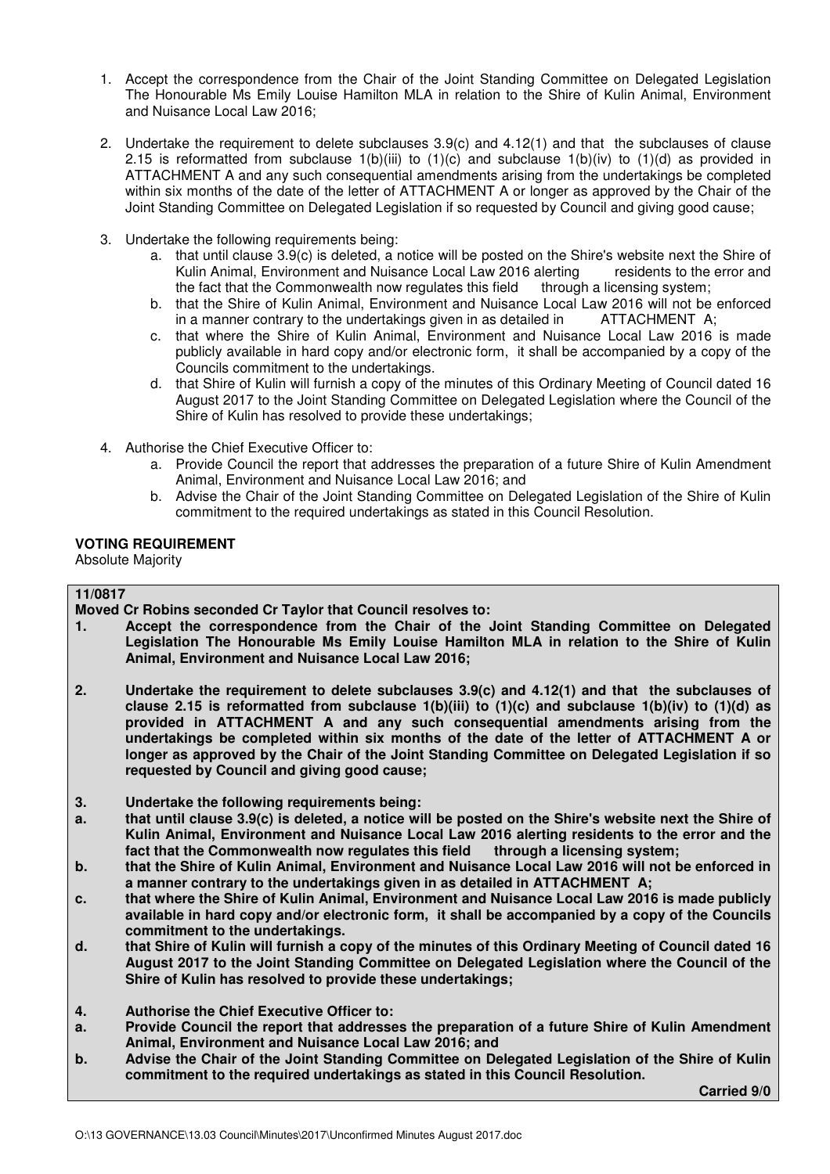- 1. Accept the correspondence from the Chair of the Joint Standing Committee on Delegated Legislation The Honourable Ms Emily Louise Hamilton MLA in relation to the Shire of Kulin Animal, Environment and Nuisance Local Law 2016;
- 2. Undertake the requirement to delete subclauses 3.9(c) and 4.12(1) and that the subclauses of clause 2.15 is reformatted from subclause  $1(b)(iii)$  to  $(1)(c)$  and subclause  $1(b)(iv)$  to  $(1)(d)$  as provided in ATTACHMENT A and any such consequential amendments arising from the undertakings be completed within six months of the date of the letter of ATTACHMENT A or longer as approved by the Chair of the Joint Standing Committee on Delegated Legislation if so requested by Council and giving good cause;
- 3. Undertake the following requirements being:
	- a. that until clause 3.9(c) is deleted, a notice will be posted on the Shire's website next the Shire of Kulin Animal, Environment and Nuisance Local Law 2016 alerting residents to the error and the fact that the Commonwealth now regulates this field through a licensing system;
	- b. that the Shire of Kulin Animal, Environment and Nuisance Local Law 2016 will not be enforced<br>in a manner contrary to the undertakings given in as detailed in ATTACHMENT A: in a manner contrary to the undertakings given in as detailed in
	- c. that where the Shire of Kulin Animal, Environment and Nuisance Local Law 2016 is made publicly available in hard copy and/or electronic form, it shall be accompanied by a copy of the Councils commitment to the undertakings.
	- d. that Shire of Kulin will furnish a copy of the minutes of this Ordinary Meeting of Council dated 16 August 2017 to the Joint Standing Committee on Delegated Legislation where the Council of the Shire of Kulin has resolved to provide these undertakings;
- 4. Authorise the Chief Executive Officer to:
	- a. Provide Council the report that addresses the preparation of a future Shire of Kulin Amendment Animal, Environment and Nuisance Local Law 2016; and
	- b. Advise the Chair of the Joint Standing Committee on Delegated Legislation of the Shire of Kulin commitment to the required undertakings as stated in this Council Resolution.

## **VOTING REQUIREMENT**

Absolute Majority

# **11/0817**

**Moved Cr Robins seconded Cr Taylor that Council resolves to:** 

- **1. Accept the correspondence from the Chair of the Joint Standing Committee on Delegated Legislation The Honourable Ms Emily Louise Hamilton MLA in relation to the Shire of Kulin Animal, Environment and Nuisance Local Law 2016;**
- **2. Undertake the requirement to delete subclauses 3.9(c) and 4.12(1) and that the subclauses of clause 2.15 is reformatted from subclause 1(b)(iii) to (1)(c) and subclause 1(b)(iv) to (1)(d) as provided in ATTACHMENT A and any such consequential amendments arising from the undertakings be completed within six months of the date of the letter of ATTACHMENT A or longer as approved by the Chair of the Joint Standing Committee on Delegated Legislation if so requested by Council and giving good cause;**
- **3. Undertake the following requirements being:**
- **a. that until clause 3.9(c) is deleted, a notice will be posted on the Shire's website next the Shire of Kulin Animal, Environment and Nuisance Local Law 2016 alerting residents to the error and the**  fact that the Commonwealth now regulates this field
- **b. that the Shire of Kulin Animal, Environment and Nuisance Local Law 2016 will not be enforced in a manner contrary to the undertakings given in as detailed in ATTACHMENT A;**
- **c. that where the Shire of Kulin Animal, Environment and Nuisance Local Law 2016 is made publicly available in hard copy and/or electronic form, it shall be accompanied by a copy of the Councils commitment to the undertakings.**
- **d. that Shire of Kulin will furnish a copy of the minutes of this Ordinary Meeting of Council dated 16 August 2017 to the Joint Standing Committee on Delegated Legislation where the Council of the Shire of Kulin has resolved to provide these undertakings;**
- **4. Authorise the Chief Executive Officer to:**
- **a. Provide Council the report that addresses the preparation of a future Shire of Kulin Amendment Animal, Environment and Nuisance Local Law 2016; and**
- **b. Advise the Chair of the Joint Standing Committee on Delegated Legislation of the Shire of Kulin commitment to the required undertakings as stated in this Council Resolution.**